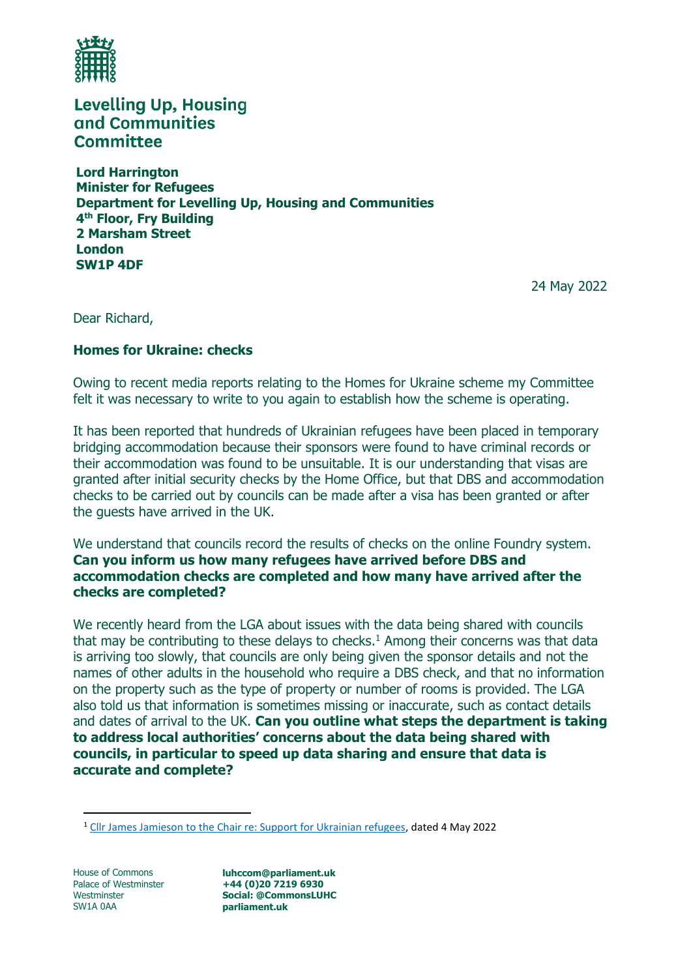

**Levelling Up, Housing** and Communities **Committee** 

**Lord Harrington Minister for Refugees Department for Levelling Up, Housing and Communities 4 th Floor, Fry Building 2 Marsham Street London SW1P 4DF**

24 May 2022

Dear Richard,

## **Homes for Ukraine: checks**

Owing to recent media reports relating to the Homes for Ukraine scheme my Committee felt it was necessary to write to you again to establish how the scheme is operating.

It has been reported that hundreds of Ukrainian refugees have been placed in temporary bridging accommodation because their sponsors were found to have criminal records or their accommodation was found to be unsuitable. It is our understanding that visas are granted after initial security checks by the Home Office, but that DBS and accommodation checks to be carried out by councils can be made after a visa has been granted or after the guests have arrived in the UK.

We understand that councils record the results of checks on the online Foundry system. **Can you inform us how many refugees have arrived before DBS and accommodation checks are completed and how many have arrived after the checks are completed?**

We recently heard from the LGA about issues with the data being shared with councils that may be contributing to these delays to checks.<sup>1</sup> Among their concerns was that data is arriving too slowly, that councils are only being given the sponsor details and not the names of other adults in the household who require a DBS check, and that no information on the property such as the type of property or number of rooms is provided. The LGA also told us that information is sometimes missing or inaccurate, such as contact details and dates of arrival to the UK. **Can you outline what steps the department is taking to address local authorities' concerns about the data being shared with councils, in particular to speed up data sharing and ensure that data is accurate and complete?**

House of Commons Palace of Westminster Westminster SW1A 0AA

**luhccom@parliament.uk +44 (0)20 7219 6930 Social: @CommonsLUHC parliament.uk**

<sup>&</sup>lt;sup>1</sup> [Cllr James Jamieson to the Chair re: Support for Ukrainian refugees,](file:///C:/Users/leesr/AppData/Local/Microsoft/Windows/INetCache/Content.Outlook/AIMHRP1C/LGA%20Chairman%20to%20Chair%20of%20LUHC%20Committee%20-%20Ukrainian%20arrivals%20follow-up%20-%204%20May%202022%20-%20final.pdf) dated 4 May 2022